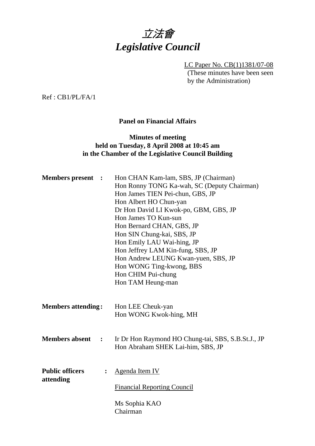

LC Paper No. CB(1)1381/07-08 (These minutes have been seen by the Administration)

Ref : CB1/PL/FA/1

#### **Panel on Financial Affairs**

#### **Minutes of meeting held on Tuesday, 8 April 2008 at 10:45 am in the Chamber of the Legislative Council Building**

|                                                       | Hon Ronny TONG Ka-wah, SC (Deputy Chairman)<br>Hon James TIEN Pei-chun, GBS, JP<br>Hon Albert HO Chun-yan<br>Dr Hon David LI Kwok-po, GBM, GBS, JP<br>Hon James TO Kun-sun<br>Hon Bernard CHAN, GBS, JP<br>Hon SIN Chung-kai, SBS, JP<br>Hon Emily LAU Wai-hing, JP<br>Hon Jeffrey LAM Kin-fung, SBS, JP<br>Hon Andrew LEUNG Kwan-yuen, SBS, JP<br>Hon WONG Ting-kwong, BBS<br>Hon CHIM Pui-chung<br>Hon TAM Heung-man |
|-------------------------------------------------------|------------------------------------------------------------------------------------------------------------------------------------------------------------------------------------------------------------------------------------------------------------------------------------------------------------------------------------------------------------------------------------------------------------------------|
| <b>Members attending:</b>                             | Hon LEE Cheuk-yan<br>Hon WONG Kwok-hing, MH                                                                                                                                                                                                                                                                                                                                                                            |
| <b>Members absent</b><br>$\ddot{\phantom{1}}$         | Ir Dr Hon Raymond HO Chung-tai, SBS, S.B.St.J., JP<br>Hon Abraham SHEK Lai-him, SBS, JP                                                                                                                                                                                                                                                                                                                                |
| <b>Public officers</b><br>$\ddot{\cdot}$<br>attending | Agenda Item IV<br><b>Financial Reporting Council</b><br>Ms Sophia KAO<br>Chairman                                                                                                                                                                                                                                                                                                                                      |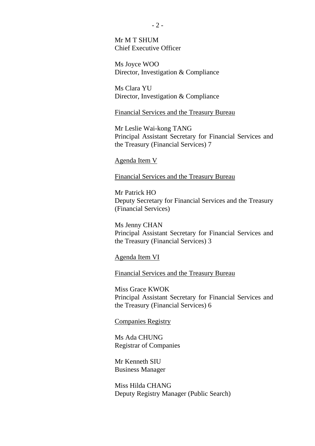Mr M T SHUM Chief Executive Officer

Ms Joyce WOO Director, Investigation & Compliance

Ms Clara YU Director, Investigation & Compliance

Financial Services and the Treasury Bureau

Mr Leslie Wai-kong TANG Principal Assistant Secretary for Financial Services and the Treasury (Financial Services) 7

#### Agenda Item V

Financial Services and the Treasury Bureau

Mr Patrick HO Deputy Secretary for Financial Services and the Treasury (Financial Services)

Ms Jenny CHAN Principal Assistant Secretary for Financial Services and the Treasury (Financial Services) 3

Agenda Item VI

Financial Services and the Treasury Bureau

Miss Grace KWOK Principal Assistant Secretary for Financial Services and the Treasury (Financial Services) 6

Companies Registry

Ms Ada CHUNG Registrar of Companies

Mr Kenneth SIU Business Manager

Miss Hilda CHANG Deputy Registry Manager (Public Search)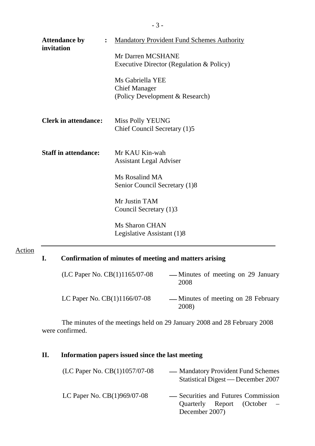| <b>Attendance by</b><br>invitation | $\ddot{\cdot}$ | <b>Mandatory Provident Fund Schemes Authority</b>                           |
|------------------------------------|----------------|-----------------------------------------------------------------------------|
|                                    |                | Mr Darren MCSHANE<br>Executive Director (Regulation & Policy)               |
|                                    |                | Ms Gabriella YEE<br><b>Chief Manager</b><br>(Policy Development & Research) |
| <b>Clerk in attendance:</b>        |                | <b>Miss Polly YEUNG</b><br>Chief Council Secretary (1)5                     |
| <b>Staff in attendance:</b>        |                | Mr KAU Kin-wah<br><b>Assistant Legal Adviser</b>                            |
|                                    |                | Ms Rosalind MA<br>Senior Council Secretary (1)8                             |
|                                    |                | Mr Justin TAM<br>Council Secretary (1)3                                     |
|                                    |                | Ms Sharon CHAN<br>Legislative Assistant (1)8                                |

## Action

# **I. Confirmation of minutes of meeting and matters arising**

| (LC Paper No. $CB(1)1165/07-08$ ) | — Minutes of meeting on 29 January<br>2008   |
|-----------------------------------|----------------------------------------------|
| LC Paper No. $CB(1)1166/07-08$    | — Minutes of meeting on 28 February<br>2008) |

The minutes of the meetings held on 29 January 2008 and 28 February 2008 were confirmed.

## **II. Information papers issued since the last meeting**

| (LC Paper No. $CB(1)1057/07-08$ ) | — Mandatory Provident Fund Schemes<br>Statistical Digest — December 2007             |
|-----------------------------------|--------------------------------------------------------------------------------------|
| LC Paper No. CB(1)969/07-08       | - Securities and Futures Commission<br>Quarterly Report (October –<br>December 2007) |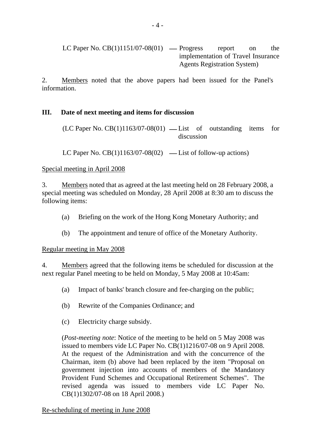LC Paper No.  $CB(1)1151/07-08(01)$  — Progress report on the implementation of Travel Insurance Agents Registration System)

2. Members noted that the above papers had been issued for the Panel's information.

### **III. Date of next meeting and items for discussion**

 $(LC$  Paper No.  $CB(1)1163/07-08(01)$  — List of outstanding items for discussion

LC Paper No.  $CB(1)1163/07-08(02)$  — List of follow-up actions)

#### Special meeting in April 2008

3. Members noted that as agreed at the last meeting held on 28 February 2008, a special meeting was scheduled on Monday, 28 April 2008 at 8:30 am to discuss the following items:

- (a) Briefing on the work of the Hong Kong Monetary Authority; and
- (b) The appointment and tenure of office of the Monetary Authority.

#### Regular meeting in May 2008

4. Members agreed that the following items be scheduled for discussion at the next regular Panel meeting to be held on Monday, 5 May 2008 at 10:45am:

- (a) Impact of banks' branch closure and fee-charging on the public;
- (b) Rewrite of the Companies Ordinance; and
- (c) Electricity charge subsidy.

(*Post-meeting note*: Notice of the meeting to be held on 5 May 2008 was issued to members vide LC Paper No. CB(1)1216/07-08 on 9 April 2008. At the request of the Administration and with the concurrence of the Chairman, item (b) above had been replaced by the item "Proposal on government injection into accounts of members of the Mandatory Provident Fund Schemes and Occupational Retirement Schemes". The revised agenda was issued to members vide LC Paper No. CB(1)1302/07-08 on 18 April 2008.)

Re-scheduling of meeting in June 2008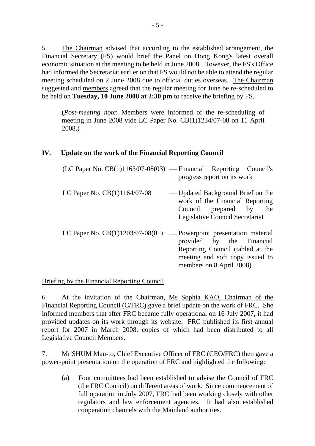5. The Chairman advised that according to the established arrangement, the Financial Secretary (FS) would brief the Panel on Hong Kong's latest overall economic situation at the meeting to be held in June 2008. However, the FS's Office had informed the Secretariat earlier on that FS would not be able to attend the regular meeting scheduled on 2 June 2008 due to official duties overseas. The Chairman suggested and members agreed that the regular meeting for June be re-scheduled to be held on **Tuesday, 10 June 2008 at 2:30 pm** to receive the briefing by FS.

(*Post-meeting note*: Members were informed of the re-scheduling of meeting in June 2008 vide LC Paper No. CB(1)1234/07-08 on 11 April 2008.)

### **IV. Update on the work of the Financial Reporting Council**

|                              | $(LC$ Paper No. $CB(1)1163/07-08(03)$ — Financial Reporting Council's<br>progress report on its work                                                                      |
|------------------------------|---------------------------------------------------------------------------------------------------------------------------------------------------------------------------|
| LC Paper No. CB(1)1164/07-08 | — Updated Background Brief on the<br>work of the Financial Reporting<br>Council prepared by<br>the<br>Legislative Council Secretariat                                     |
|                              | LC Paper No. $CB(1)1203/07-08(01)$ - Powerpoint presentation material<br>provided by the Financial<br>Reporting Council (tabled at the<br>meeting and soft copy issued to |

members on 8 April 2008)

#### Briefing by the Financial Reporting Council

6. At the invitation of the Chairman, Ms Sophia KAO, Chairman of the Financial Reporting Council (C/FRC) gave a brief update on the work of FRC. She informed members that after FRC became fully operational on 16 July 2007, it had provided updates on its work through its website. FRC published its first annual report for 2007 in March 2008, copies of which had been distributed to all Legislative Council Members.

7. Mr SHUM Man-to, Chief Executive Officer of FRC (CEO/FRC) then gave a power-point presentation on the operation of FRC and highlighted the following:

(a) Four committees had been established to advise the Council of FRC (the FRC Council) on different areas of work. Since commencement of full operation in July 2007, FRC had been working closely with other regulators and law enforcement agencies. It had also established cooperation channels with the Mainland authorities.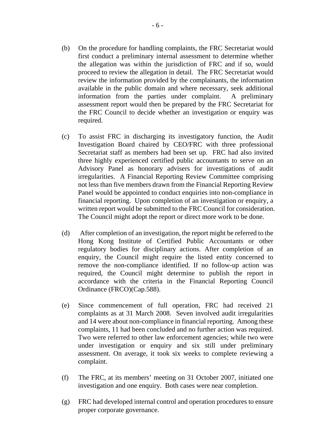- (b) On the procedure for handling complaints, the FRC Secretariat would first conduct a preliminary internal assessment to determine whether the allegation was within the jurisdiction of FRC and if so, would proceed to review the allegation in detail. The FRC Secretariat would review the information provided by the complainants, the information available in the public domain and where necessary, seek additional information from the parties under complaint. A preliminary assessment report would then be prepared by the FRC Secretariat for the FRC Council to decide whether an investigation or enquiry was required.
- (c) To assist FRC in discharging its investigatory function, the Audit Investigation Board chaired by CEO/FRC with three professional Secretariat staff as members had been set up. FRC had also invited three highly experienced certified public accountants to serve on an Advisory Panel as honorary advisers for investigations of audit irregularities. A Financial Reporting Review Committee comprising not less than five members drawn from the Financial Reporting Review Panel would be appointed to conduct enquiries into non-compliance in financial reporting. Upon completion of an investigation or enquiry, a written report would be submitted to the FRC Council for consideration. The Council might adopt the report or direct more work to be done.
- (d) After completion of an investigation, the report might be referred to the Hong Kong Institute of Certified Public Accountants or other regulatory bodies for disciplinary actions. After completion of an enquiry, the Council might require the listed entity concerned to remove the non-compliance identified. If no follow-up action was required, the Council might determine to publish the report in accordance with the criteria in the Financial Reporting Council Ordinance (FRCO)(Cap.588).
- (e) Since commencement of full operation, FRC had received 21 complaints as at 31 March 2008. Seven involved audit irregularities and 14 were about non-compliance in financial reporting. Among these complaints, 11 had been concluded and no further action was required. Two were referred to other law enforcement agencies; while two were under investigation or enquiry and six still under preliminary assessment. On average, it took six weeks to complete reviewing a complaint.
- (f) The FRC, at its members' meeting on 31 October 2007, initiated one investigation and one enquiry. Both cases were near completion.
- (g) FRC had developed internal control and operation procedures to ensure proper corporate governance.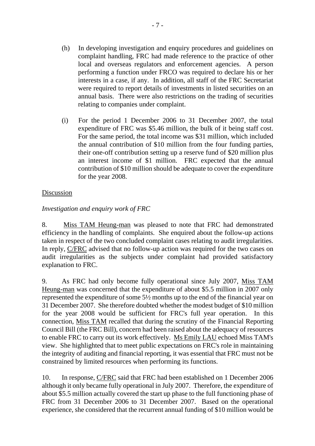- (h) In developing investigation and enquiry procedures and guidelines on complaint handling, FRC had made reference to the practice of other local and overseas regulators and enforcement agencies. A person performing a function under FRCO was required to declare his or her interests in a case, if any. In addition, all staff of the FRC Secretariat were required to report details of investments in listed securities on an annual basis. There were also restrictions on the trading of securities relating to companies under complaint.
- (i) For the period 1 December 2006 to 31 December 2007, the total expenditure of FRC was \$5.46 million, the bulk of it being staff cost. For the same period, the total income was \$31 million, which included the annual contribution of \$10 million from the four funding parties, their one-off contribution setting up a reserve fund of \$20 million plus an interest income of \$1 million. FRC expected that the annual contribution of \$10 million should be adequate to cover the expenditure for the year 2008.

#### Discussion

#### *Investigation and enquiry work of FRC*

8. Miss TAM Heung-man was pleased to note that FRC had demonstrated efficiency in the handling of complaints. She enquired about the follow-up actions taken in respect of the two concluded complaint cases relating to audit irregularities. In reply, C/FRC advised that no follow-up action was required for the two cases on audit irregularities as the subjects under complaint had provided satisfactory explanation to FRC.

9. As FRC had only become fully operational since July 2007, Miss TAM Heung-man was concerned that the expenditure of about \$5.5 million in 2007 only represented the expenditure of some 5½ months up to the end of the financial year on 31 December 2007. She therefore doubted whether the modest budget of \$10 million for the year 2008 would be sufficient for FRC's full year operation. In this connection, Miss TAM recalled that during the scrutiny of the Financial Reporting Council Bill (the FRC Bill), concern had been raised about the adequacy of resources to enable FRC to carry out its work effectively. Ms Emily LAU echoed Miss TAM's view. She highlighted that to meet public expectations on FRC's role in maintaining the integrity of auditing and financial reporting, it was essential that FRC must not be constrained by limited resources when performing its functions.

10. In response, C/FRC said that FRC had been established on 1 December 2006 although it only became fully operational in July 2007. Therefore, the expenditure of about \$5.5 million actually covered the start up phase to the full functioning phase of FRC from 31 December 2006 to 31 December 2007. Based on the operational experience, she considered that the recurrent annual funding of \$10 million would be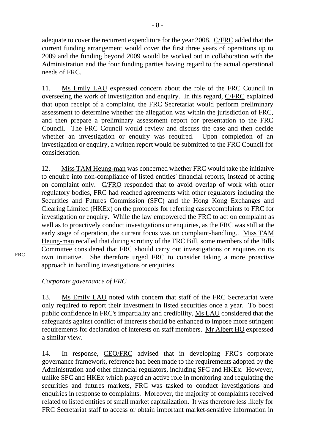adequate to cover the recurrent expenditure for the year 2008. C/FRC added that the current funding arrangement would cover the first three years of operations up to 2009 and the funding beyond 2009 would be worked out in collaboration with the Administration and the four funding parties having regard to the actual operational needs of FRC.

11. Ms Emily LAU expressed concern about the role of the FRC Council in overseeing the work of investigation and enquiry. In this regard, C/FRC explained that upon receipt of a complaint, the FRC Secretariat would perform preliminary assessment to determine whether the allegation was within the jurisdiction of FRC, and then prepare a preliminary assessment report for presentation to the FRC Council. The FRC Council would review and discuss the case and then decide whether an investigation or enquiry was required. Upon completion of an investigation or enquiry, a written report would be submitted to the FRC Council for consideration.

12. Miss TAM Heung-man was concerned whether FRC would take the initiative to enquire into non-compliance of listed entities' financial reports, instead of acting on complaint only. C/FRO responded that to avoid overlap of work with other regulatory bodies, FRC had reached agreements with other regulators including the Securities and Futures Commission (SFC) and the Hong Kong Exchanges and Clearing Limited (HKEx) on the protocols for referring cases/complaints to FRC for investigation or enquiry. While the law empowered the FRC to act on complaint as well as to proactively conduct investigations or enquiries, as the FRC was still at the early stage of operation, the current focus was on complaint-handling.. Miss TAM Heung-man recalled that during scrutiny of the FRC Bill, some members of the Bills Committee considered that FRC should carry out investigations or enquires on its own initiative. She therefore urged FRC to consider taking a more proactive approach in handling investigations or enquiries.

*Corporate governance of FRC* 

FRC

13. Ms Emily LAU noted with concern that staff of the FRC Secretariat were only required to report their investment in listed securities once a year. To boost public confidence in FRC's impartiality and credibility, Ms LAU considered that the safeguards against conflict of interests should be enhanced to impose more stringent requirements for declaration of interests on staff members. Mr Albert HO expressed a similar view.

14. In response, CEO/FRC advised that in developing FRC's corporate governance framework, reference had been made to the requirements adopted by the Administration and other financial regulators, including SFC and HKEx. However, unlike SFC and HKEx which played an active role in monitoring and regulating the securities and futures markets, FRC was tasked to conduct investigations and enquiries in response to complaints. Moreover, the majority of complaints received related to listed entities of small market capitalization. It was therefore less likely for FRC Secretariat staff to access or obtain important market-sensitive information in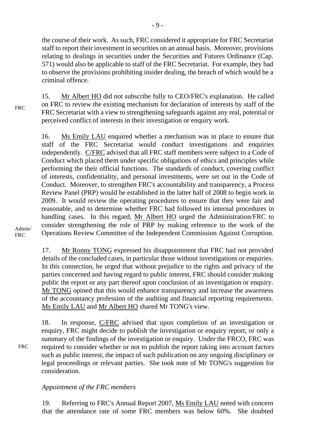the course of their work. As such, FRC considered it appropriate for FRC Secretariat staff to report their investment in securities on an annual basis. Moreover, provisions relating to dealings in securities under the Securities and Futures Ordinance (Cap. 571) would also be applicable to staff of the FRC Secretariat. For example, they had to observe the provisions prohibiting insider dealing, the breach of which would be a criminal offence.

15. Mr Albert HO did not subscribe fully to CEO/FRC's explanation. He called on FRC to review the existing mechanism for declaration of interests by staff of the FRC Secretariat with a view to strengthening safeguards against any real, potential or perceived conflict of interests in their investigation or enquiry work.

16. Ms Emily LAU enquired whether a mechanism was in place to ensure that staff of the FRC Secretariat would conduct investigations and enquiries independently. C/FRC advised that all FRC staff members were subject to a Code of Conduct which placed them under specific obligations of ethics and principles while performing the their official functions. The standards of conduct, covering conflict of interests, confidentiality, and personal investments, were set out in the Code of Conduct. Moreover, to strengthen FRC's accountability and transparency, a Process Review Panel (PRP) would be established in the latter half of 2008 to begin work in 2009. It would review the operating procedures to ensure that they were fair and reasonable, and to determine whether FRC had followed its internal procedures in handling cases. In this regard, Mr Albert HO urged the Administration/FRC to consider strengthening the role of PRP by making reference to the work of the Operations Review Committee of the Independent Commission Against Corruption.

Admin/ **FRC** 

FRC

FRC

17. Mr Ronny TONG expressed his disappointment that FRC had not provided details of the concluded cases, in particular those without investigations or enquiries. In this connection, he urged that without prejudice to the rights and privacy of the parties concerned and having regard to public interest, FRC should consider making public the report or any part thereof upon conclusion of an investigation or enquiry. Mr TONG opined that this would enhance transparency and increase the awareness of the accountancy profession of the auditing and financial reporting requirements. Ms Emily LAU and Mr Albert HO shared Mr TONG's view.

18. In response, C/FRC advised that upon completion of an investigation or enquiry, FRC might decide to publish the investigation or enquiry report, or only a summary of the findings of the investigation or enquiry. Under the FRCO, FRC was required to consider whether or not to publish the report taking into account factors such as public interest, the impact of such publication on any ongoing disciplinary or legal proceedings or relevant parties. She took note of Mr TONG's suggestion for consideration.

#### *Appointment of the FRC members*

19. Referring to FRC's Annual Report 2007, Ms Emily LAU noted with concern that the attendance rate of some FRC members was below 60%. She doubted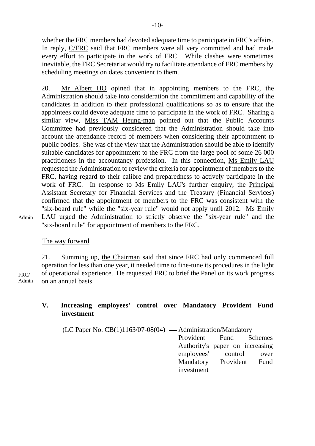whether the FRC members had devoted adequate time to participate in FRC's affairs. In reply, C/FRC said that FRC members were all very committed and had made every effort to participate in the work of FRC. While clashes were sometimes inevitable, the FRC Secretariat would try to facilitate attendance of FRC members by scheduling meetings on dates convenient to them.

20. Mr Albert HO opined that in appointing members to the FRC, the Administration should take into consideration the commitment and capability of the candidates in addition to their professional qualifications so as to ensure that the appointees could devote adequate time to participate in the work of FRC. Sharing a similar view, Miss TAM Heung-man pointed out that the Public Accounts Committee had previously considered that the Administration should take into account the attendance record of members when considering their appointment to public bodies. She was of the view that the Administration should be able to identify suitable candidates for appointment to the FRC from the large pool of some 26 000 practitioners in the accountancy profession. In this connection, Ms Emily LAU requested the Administration to review the criteria for appointment of members to the FRC, having regard to their calibre and preparedness to actively participate in the work of FRC. In response to Ms Emily LAU's further enquiry, the Principal Assistant Secretary for Financial Services and the Treasury (Financial Services) confirmed that the appointment of members to the FRC was consistent with the "six-board rule" while the "six-year rule" would not apply until 2012. Ms Emily LAU urged the Administration to strictly observe the "six-year rule" and the "six-board rule" for appointment of members to the FRC.

The way forward

Admin

FRC/ Admin 21. Summing up, the Chairman said that since FRC had only commenced full operation for less than one year, it needed time to fine-tune its procedures in the light of operational experience. He requested FRC to brief the Panel on its work progress on an annual basis.

### **V. Increasing employees' control over Mandatory Provident Fund investment**

 $(LC$  Paper No.  $CB(1)1163/07-08(04)$  — Administration/Mandatory Provident Fund Schemes Authority's paper on increasing employees' control over Mandatory Provident Fund investment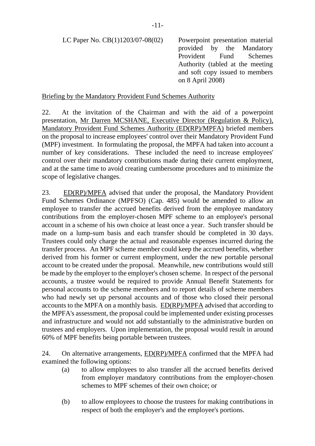LC Paper No. CB(1)1203/07-08(02) Powerpoint presentation material

provided by the Mandatory Provident Fund Schemes Authority (tabled at the meeting and soft copy issued to members on 8 April 2008)

#### Briefing by the Mandatory Provident Fund Schemes Authority

22. At the invitation of the Chairman and with the aid of a powerpoint presentation, Mr Darren MCSHANE, Executive Director (Regulation & Policy), Mandatory Provident Fund Schemes Authority (ED(RP)/MPFA) briefed members on the proposal to increase employees' control over their Mandatory Provident Fund (MPF) investment. In formulating the proposal, the MPFA had taken into account a number of key considerations. These included the need to increase employees' control over their mandatory contributions made during their current employment, and at the same time to avoid creating cumbersome procedures and to minimize the scope of legislative changes.

23. ED(RP)/MPFA advised that under the proposal, the Mandatory Provident Fund Schemes Ordinance (MPFSO) (Cap. 485) would be amended to allow an employee to transfer the accrued benefits derived from the employee mandatory contributions from the employer-chosen MPF scheme to an employee's personal account in a scheme of his own choice at least once a year. Such transfer should be made on a lump-sum basis and each transfer should be completed in 30 days. Trustees could only charge the actual and reasonable expenses incurred during the transfer process. An MPF scheme member could keep the accrued benefits, whether derived from his former or current employment, under the new portable personal account to be created under the proposal. Meanwhile, new contributions would still be made by the employer to the employer's chosen scheme. In respect of the personal accounts, a trustee would be required to provide Annual Benefit Statements for personal accounts to the scheme members and to report details of scheme members who had newly set up personal accounts and of those who closed their personal accounts to the MPFA on a monthly basis. ED(RP)/MPFA advised that according to the MPFA's assessment, the proposal could be implemented under existing processes and infrastructure and would not add substantially to the administrative burden on trustees and employers. Upon implementation, the proposal would result in around 60% of MPF benefits being portable between trustees.

24. On alternative arrangements, ED(RP)/MPFA confirmed that the MPFA had examined the following options:

- (a) to allow employees to also transfer all the accrued benefits derived from employer mandatory contributions from the employer-chosen schemes to MPF schemes of their own choice; or
- (b) to allow employees to choose the trustees for making contributions in respect of both the employer's and the employee's portions.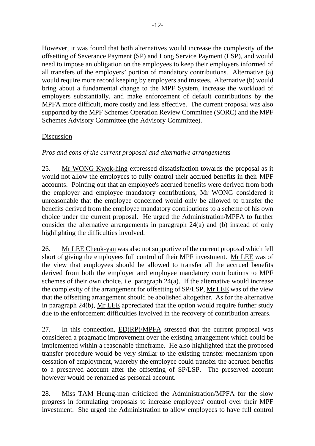However, it was found that both alternatives would increase the complexity of the offsetting of Severance Payment (SP) and Long Service Payment (LSP), and would need to impose an obligation on the employees to keep their employers informed of all transfers of the employers' portion of mandatory contributions. Alternative (a) would require more record keeping by employers and trustees. Alternative (b) would bring about a fundamental change to the MPF System, increase the workload of employers substantially, and make enforcement of default contributions by the MPFA more difficult, more costly and less effective. The current proposal was also supported by the MPF Schemes Operation Review Committee (SORC) and the MPF Schemes Advisory Committee (the Advisory Committee).

### Discussion

*Pros and cons of the current proposal and alternative arrangements* 

25. Mr WONG Kwok-hing expressed dissatisfaction towards the proposal as it would not allow the employees to fully control their accrued benefits in their MPF accounts. Pointing out that an employee's accrued benefits were derived from both the employer and employee mandatory contributions, Mr WONG considered it unreasonable that the employee concerned would only be allowed to transfer the benefits derived from the employee mandatory contributions to a scheme of his own choice under the current proposal. He urged the Administration/MPFA to further consider the alternative arrangements in paragraph 24(a) and (b) instead of only highlighting the difficulties involved.

26. Mr LEE Cheuk-yan was also not supportive of the current proposal which fell short of giving the employees full control of their MPF investment. Mr LEE was of the view that employees should be allowed to transfer all the accrued benefits derived from both the employer and employee mandatory contributions to MPF schemes of their own choice, i.e. paragraph 24(a). If the alternative would increase the complexity of the arrangement for offsetting of SP/LSP, Mr LEE was of the view that the offsetting arrangement should be abolished altogether. As for the alternative in paragraph 24(b), Mr LEE appreciated that the option would require further study due to the enforcement difficulties involved in the recovery of contribution arrears.

27. In this connection, ED(RP)/MPFA stressed that the current proposal was considered a pragmatic improvement over the existing arrangement which could be implemented within a reasonable timeframe. He also highlighted that the proposed transfer procedure would be very similar to the existing transfer mechanism upon cessation of employment, whereby the employee could transfer the accrued benefits to a preserved account after the offsetting of SP/LSP. The preserved account however would be renamed as personal account.

28. Miss TAM Heung-man criticized the Administration/MPFA for the slow progress in formulating proposals to increase employees' control over their MPF investment. She urged the Administration to allow employees to have full control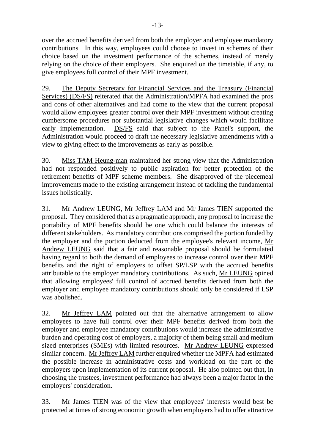over the accrued benefits derived from both the employer and employee mandatory contributions. In this way, employees could choose to invest in schemes of their choice based on the investment performance of the schemes, instead of merely relying on the choice of their employers. She enquired on the timetable, if any, to give employees full control of their MPF investment.

29. The Deputy Secretary for Financial Services and the Treasury (Financial Services) (DS/FS) reiterated that the Administration/MPFA had examined the pros and cons of other alternatives and had come to the view that the current proposal would allow employees greater control over their MPF investment without creating cumbersome procedures nor substantial legislative changes which would facilitate early implementation. DS/FS said that subject to the Panel's support, the Administration would proceed to draft the necessary legislative amendments with a view to giving effect to the improvements as early as possible.

30. Miss TAM Heung-man maintained her strong view that the Administration had not responded positively to public aspiration for better protection of the retirement benefits of MPF scheme members. She disapproved of the piecemeal improvements made to the existing arrangement instead of tackling the fundamental issues holistically.

31. Mr Andrew LEUNG, Mr Jeffrey LAM and Mr James TIEN supported the proposal. They considered that as a pragmatic approach, any proposal to increase the portability of MPF benefits should be one which could balance the interests of different stakeholders. As mandatory contributions comprised the portion funded by the employer and the portion deducted from the employee's relevant income, Mr Andrew LEUNG said that a fair and reasonable proposal should be formulated having regard to both the demand of employees to increase control over their MPF benefits and the right of employers to offset SP/LSP with the accrued benefits attributable to the employer mandatory contributions. As such, Mr LEUNG opined that allowing employees' full control of accrued benefits derived from both the employer and employee mandatory contributions should only be considered if LSP was abolished.

32. Mr Jeffrey LAM pointed out that the alternative arrangement to allow employees to have full control over their MPF benefits derived from both the employer and employee mandatory contributions would increase the administrative burden and operating cost of employers, a majority of them being small and medium sized enterprises (SMEs) with limited resources. Mr Andrew LEUNG expressed similar concern. Mr Jeffrey LAM further enquired whether the MPFA had estimated the possible increase in administrative costs and workload on the part of the employers upon implementation of its current proposal. He also pointed out that, in choosing the trustees, investment performance had always been a major factor in the employers' consideration.

33. Mr James TIEN was of the view that employees' interests would best be protected at times of strong economic growth when employers had to offer attractive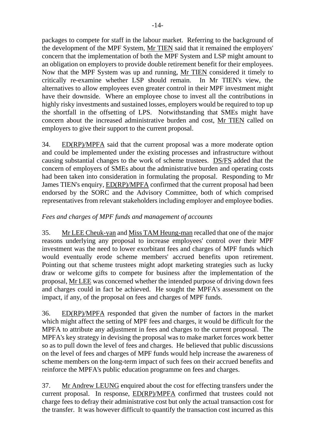packages to compete for staff in the labour market. Referring to the background of the development of the MPF System, Mr TIEN said that it remained the employers' concern that the implementation of both the MPF System and LSP might amount to an obligation on employers to provide double retirement benefit for their employees. Now that the MPF System was up and running, Mr TIEN considered it timely to critically re-examine whether LSP should remain. In Mr TIEN's view, the alternatives to allow employees even greater control in their MPF investment might have their downside. Where an employee chose to invest all the contributions in highly risky investments and sustained losses, employers would be required to top up the shortfall in the offsetting of LPS. Notwithstanding that SMEs might have concern about the increased administrative burden and cost, Mr TIEN called on employers to give their support to the current proposal.

34. ED(RP)/MPFA said that the current proposal was a more moderate option and could be implemented under the existing processes and infrastructure without causing substantial changes to the work of scheme trustees. DS/FS added that the concern of employers of SMEs about the administrative burden and operating costs had been taken into consideration in formulating the proposal. Responding to Mr James TIEN's enquiry, ED(RP)/MPFA confirmed that the current proposal had been endorsed by the SORC and the Advisory Committee, both of which comprised representatives from relevant stakeholders including employer and employee bodies.

### *Fees and charges of MPF funds and management of accounts*

35. Mr LEE Cheuk-yan and Miss TAM Heung-man recalled that one of the major reasons underlying any proposal to increase employees' control over their MPF investment was the need to lower exorbitant fees and charges of MPF funds which would eventually erode scheme members' accrued benefits upon retirement. Pointing out that scheme trustees might adopt marketing strategies such as lucky draw or welcome gifts to compete for business after the implementation of the proposal, Mr LEE was concerned whether the intended purpose of driving down fees and charges could in fact be achieved. He sought the MPFA's assessment on the impact, if any, of the proposal on fees and charges of MPF funds.

36. ED(RP)/MPFA responded that given the number of factors in the market which might affect the setting of MPF fees and charges, it would be difficult for the MPFA to attribute any adjustment in fees and charges to the current proposal. The MPFA's key strategy in devising the proposal was to make market forces work better so as to pull down the level of fees and charges. He believed that public discussions on the level of fees and charges of MPF funds would help increase the awareness of scheme members on the long-term impact of such fees on their accrued benefits and reinforce the MPFA's public education programme on fees and charges.

37. Mr Andrew LEUNG enquired about the cost for effecting transfers under the current proposal. In response, ED(RP)/MPFA confirmed that trustees could not charge fees to defray their administrative cost but only the actual transaction cost for the transfer. It was however difficult to quantify the transaction cost incurred as this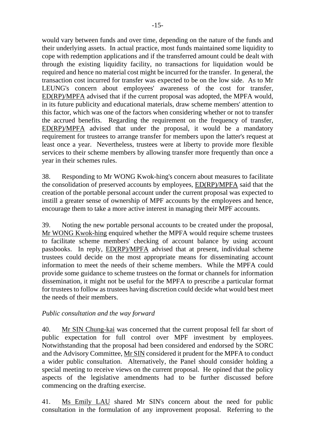would vary between funds and over time, depending on the nature of the funds and their underlying assets. In actual practice, most funds maintained some liquidity to cope with redemption applications and if the transferred amount could be dealt with through the existing liquidity facility, no transactions for liquidation would be required and hence no material cost might be incurred for the transfer. In general, the transaction cost incurred for transfer was expected to be on the low side. As to Mr LEUNG's concern about employees' awareness of the cost for transfer, ED(RP)/MPFA advised that if the current proposal was adopted, the MPFA would, in its future publicity and educational materials, draw scheme members' attention to this factor, which was one of the factors when considering whether or not to transfer the accrued benefits. Regarding the requirement on the frequency of transfer, ED(RP)/MPFA advised that under the proposal, it would be a mandatory requirement for trustees to arrange transfer for members upon the latter's request at least once a year. Nevertheless, trustees were at liberty to provide more flexible services to their scheme members by allowing transfer more frequently than once a year in their schemes rules.

38. Responding to Mr WONG Kwok-hing's concern about measures to facilitate the consolidation of preserved accounts by employees, ED(RP)/MPFA said that the creation of the portable personal account under the current proposal was expected to instill a greater sense of ownership of MPF accounts by the employees and hence, encourage them to take a more active interest in managing their MPF accounts.

39. Noting the new portable personal accounts to be created under the proposal, Mr WONG Kwok-hing enquired whether the MPFA would require scheme trustees to facilitate scheme members' checking of account balance by using account passbooks. In reply, ED(RP)/MPFA advised that at present, individual scheme trustees could decide on the most appropriate means for disseminating account information to meet the needs of their scheme members. While the MPFA could provide some guidance to scheme trustees on the format or channels for information dissemination, it might not be useful for the MPFA to prescribe a particular format for trustees to follow as trustees having discretion could decide what would best meet the needs of their members.

#### *Public consultation and the way forward*

40. Mr SIN Chung-kai was concerned that the current proposal fell far short of public expectation for full control over MPF investment by employees. Notwithstanding that the proposal had been considered and endorsed by the SORC and the Advisory Committee, Mr SIN considered it prudent for the MPFA to conduct a wider public consultation. Alternatively, the Panel should consider holding a special meeting to receive views on the current proposal. He opined that the policy aspects of the legislative amendments had to be further discussed before commencing on the drafting exercise.

41. Ms Emily LAU shared Mr SIN's concern about the need for public consultation in the formulation of any improvement proposal. Referring to the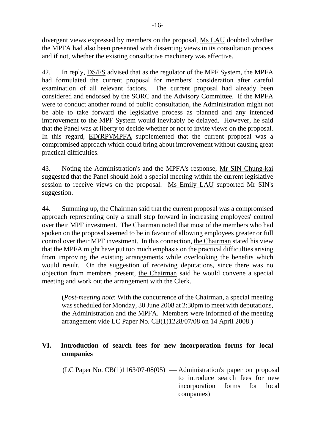divergent views expressed by members on the proposal, Ms LAU doubted whether the MPFA had also been presented with dissenting views in its consultation process and if not, whether the existing consultative machinery was effective.

42. In reply, DS/FS advised that as the regulator of the MPF System, the MPFA had formulated the current proposal for members' consideration after careful examination of all relevant factors. The current proposal had already been considered and endorsed by the SORC and the Advisory Committee. If the MPFA were to conduct another round of public consultation, the Administration might not be able to take forward the legislative process as planned and any intended improvement to the MPF System would inevitably be delayed. However, he said that the Panel was at liberty to decide whether or not to invite views on the proposal. In this regard, ED(RP)/MPFA supplemented that the current proposal was a compromised approach which could bring about improvement without causing great practical difficulties.

43. Noting the Administration's and the MPFA's response, Mr SIN Chung-kai suggested that the Panel should hold a special meeting within the current legislative session to receive views on the proposal. Ms Emily LAU supported Mr SIN's suggestion.

44. Summing up, the Chairman said that the current proposal was a compromised approach representing only a small step forward in increasing employees' control over their MPF investment. The Chairman noted that most of the members who had spoken on the proposal seemed to be in favour of allowing employees greater or full control over their MPF investment. In this connection, the Chairman stated his view that the MPFA might have put too much emphasis on the practical difficulties arising from improving the existing arrangements while overlooking the benefits which would result. On the suggestion of receiving deputations, since there was no objection from members present, the Chairman said he would convene a special meeting and work out the arrangement with the Clerk.

(*Post-meeting note*: With the concurrence of the Chairman, a special meeting was scheduled for Monday, 30 June 2008 at 2:30pm to meet with deputations, the Administration and the MPFA. Members were informed of the meeting arrangement vide LC Paper No. CB(1)1228/07/08 on 14 April 2008.)

### **VI. Introduction of search fees for new incorporation forms for local companies**

 $(LC$  Paper No.  $CB(1)1163/07-08(05)$  — Administration's paper on proposal to introduce search fees for new incorporation forms for local companies)